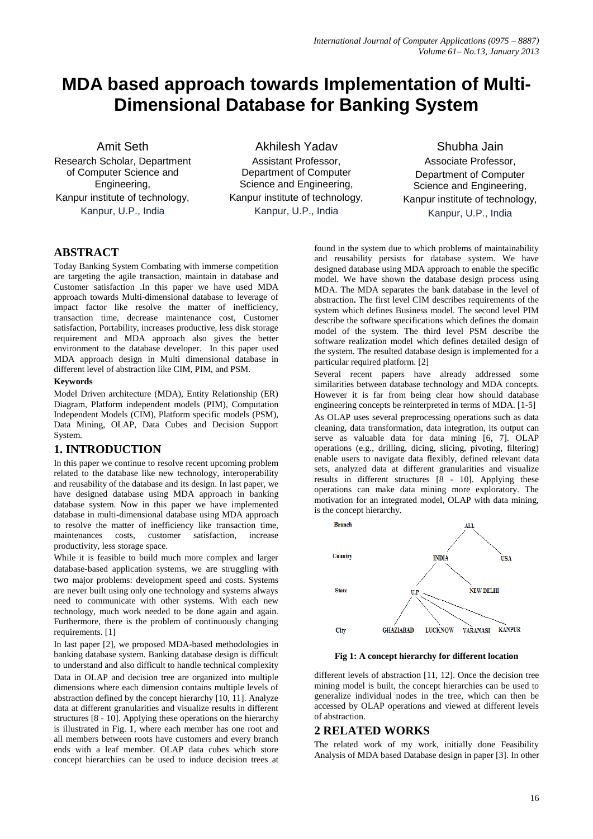# **MDA based approach towards Implementation of Multi-Dimensional Database for Banking System**

Amit Seth

Research Scholar, Department of Computer Science and Engineering, Kanpur institute of technology, Kanpur, U.P., India

Akhilesh Yadav Assistant Professor, Department of Computer Science and Engineering, Kanpur institute of technology, Kanpur, U.P., India

Shubha Jain Associate Professor, Department of Computer Science and Engineering, Kanpur institute of technology, Kanpur, U.P., India

# **ABSTRACT**

Today Banking System Combating with immerse competition are targeting the agile transaction, maintain in database and Customer satisfaction .In this paper we have used MDA approach towards Multi-dimensional database to leverage of impact factor like resolve the matter of inefficiency, transaction time, decrease maintenance cost, Customer satisfaction, Portability, increases productive, less disk storage requirement and MDA approach also gives the better environment to the database developer. In this paper used MDA approach design in Multi dimensional database in different level of abstraction like CIM, PIM, and PSM.

## **Keywords**

Model Driven architecture (MDA), Entity Relationship (ER) Diagram, Platform independent models (PIM), Computation Independent Models (CIM), Platform specific models (PSM), Data Mining, OLAP, Data Cubes and Decision Support System.

## **1. INTRODUCTION**

In this paper we continue to resolve recent upcoming problem related to the database like new technology, interoperability and reusability of the database and its design. In last paper, we have designed database using MDA approach in banking database system. Now in this paper we have implemented database in multi-dimensional database using MDA approach to resolve the matter of inefficiency like transaction time, maintenances costs, customer satisfaction, increase productivity, less storage space.

While it is feasible to build much more complex and larger database-based application systems, we are struggling with two major problems: development speed and costs. Systems are never built using only one technology and systems always need to communicate with other systems. With each new technology, much work needed to be done again and again. Furthermore, there is the problem of continuously changing requirements. [1]

In last paper [2], we proposed MDA-based methodologies in banking database system. Banking database design is difficult to understand and also difficult to handle technical complexity Data in OLAP and decision tree are organized into multiple dimensions where each dimension contains multiple levels of abstraction defined by the concept hierarchy [10, 11]. Analyze data at different granularities and visualize results in different structures [8 - 10]. Applying these operations on the hierarchy is illustrated in Fig. 1, where each member has one root and all members between roots have customers and every branch ends with a leaf member. OLAP data cubes which store concept hierarchies can be used to induce decision trees at found in the system due to which problems of maintainability and reusability persists for database system. We have designed database using MDA approach to enable the specific model. We have shown the database design process using MDA. The MDA separates the bank database in the level of abstraction**.** The first level CIM describes requirements of the system which defines Business model. The second level PIM describe the software specifications which defines the domain model of the system. The third level PSM describe the software realization model which defines detailed design of the system. The resulted database design is implemented for a particular required platform. [2]

Several recent papers have already addressed some similarities between database technology and MDA concepts. However it is far from being clear how should database engineering concepts be reinterpreted in terms of MDA. [1-5]

As OLAP uses several preprocessing operations such as data cleaning, data transformation, data integration, its output can serve as valuable data for data mining [6, 7]. OLAP operations (e.g., drilling, dicing, slicing, pivoting, filtering) enable users to navigate data flexibly, defined relevant data sets, analyzed data at different granularities and visualize results in different structures [8 - 10]. Applying these operations can make data mining more exploratory. The motivation for an integrated model, OLAP with data mining, is the concept hierarchy.



#### **Fig 1: A concept hierarchy for different location**

different levels of abstraction [11, 12]. Once the decision tree mining model is built, the concept hierarchies can be used to generalize individual nodes in the tree, which can then be accessed by OLAP operations and viewed at different levels of abstraction.

## **2 RELATED WORKS**

The related work of my work, initially done Feasibility Analysis of MDA based Database design in paper [3]. In other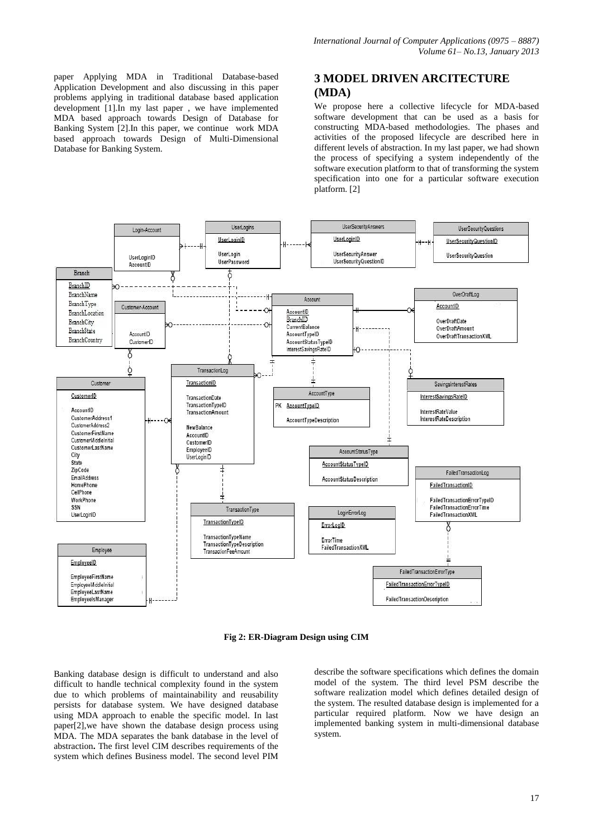paper Applying MDA in Traditional Database-based Application Development and also discussing in this paper problems applying in traditional database based application development [1].In my last paper , we have implemented MDA based approach towards Design of Database for Banking System [2].In this paper, we continue work MDA based approach towards Design of Multi-Dimensional Database for Banking System.

## **3 MODEL DRIVEN ARCITECTURE (MDA)**

We propose here a collective lifecycle for MDA-based software development that can be used as a basis for constructing MDA-based methodologies. The phases and activities of the proposed lifecycle are described here in different levels of abstraction. In my last paper, we had shown the process of specifying a system independently of the software execution platform to that of transforming the system specification into one for a particular software execution platform. [2]



**Fig 2: ER-Diagram Design using CIM**

Banking database design is difficult to understand and also difficult to handle technical complexity found in the system due to which problems of maintainability and reusability persists for database system. We have designed database using MDA approach to enable the specific model. In last paper[2],we have shown the database design process using MDA. The MDA separates the bank database in the level of abstraction**.** The first level CIM describes requirements of the system which defines Business model. The second level PIM

describe the software specifications which defines the domain model of the system. The third level PSM describe the software realization model which defines detailed design of the system. The resulted database design is implemented for a particular required platform. Now we have design an implemented banking system in multi-dimensional database system.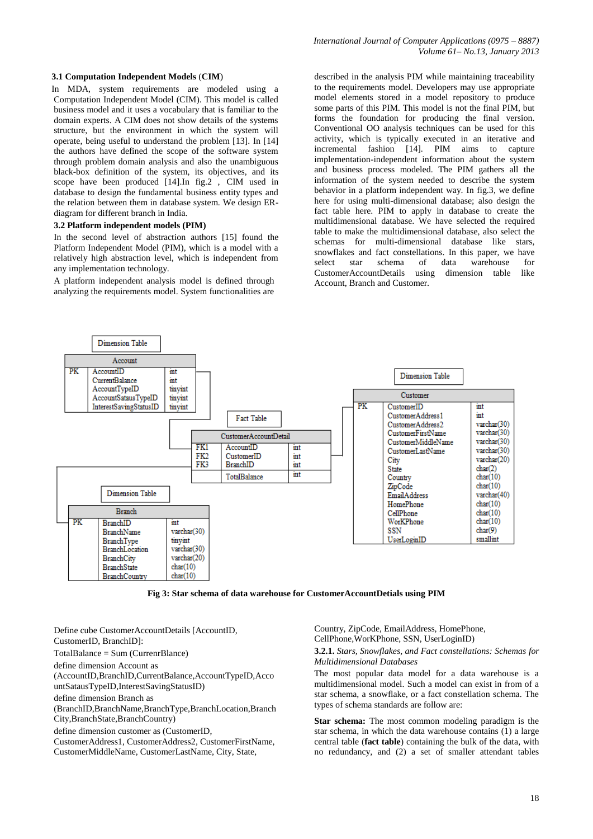#### **3.1 Computation Independent Models** (**CIM**)

 In MDA, system requirements are modeled using a Computation Independent Model (CIM). This model is called business model and it uses a vocabulary that is familiar to the domain experts. A CIM does not show details of the systems structure, but the environment in which the system will operate, being useful to understand the problem [13]. In [14] the authors have defined the scope of the software system through problem domain analysis and also the unambiguous black-box definition of the system, its objectives, and its scope have been produced [14].In fig.2 , CIM used in database to design the fundamental business entity types and the relation between them in database system. We design ERdiagram for different branch in India.

#### **3.2 Platform independent models (PIM)**

In the second level of abstraction authors [15] found the Platform Independent Model (PIM), which is a model with a relatively high abstraction level, which is independent from any implementation technology.

A platform independent analysis model is defined through analyzing the requirements model. System functionalities are described in the analysis PIM while maintaining traceability to the requirements model. Developers may use appropriate model elements stored in a model repository to produce some parts of this PIM. This model is not the final PIM, but forms the foundation for producing the final version. Conventional OO analysis techniques can be used for this activity, which is typically executed in an iterative and incremental fashion [14]. PIM aims to capture implementation-independent information about the system and business process modeled. The PIM gathers all the information of the system needed to describe the system behavior in a platform independent way. In fig.3, we define here for using multi-dimensional database; also design the fact table here. PIM to apply in database to create the multidimensional database. We have selected the required table to make the multidimensional database, also select the schemas for multi-dimensional database like stars, snowflakes and fact constellations. In this paper, we have select star schema of data warehouse for CustomerAccountDetails using dimension table like Account, Branch and Customer.



**Fig 3: Star schema of data warehouse for CustomerAccountDetials using PIM**

Define cube CustomerAccountDetails [AccountID, CustomerID, BranchID]: TotalBalance = Sum (CurrenrBlance) define dimension Account as (AccountID,BranchID,CurrentBalance,AccountTypeID,Acco untSatausTypeID,InterestSavingStatusID) define dimension Branch as (BranchID,BranchName,BranchType,BranchLocation,Branch City,BranchState,BranchCountry) define dimension customer as (CustomerID,

CustomerAddress1, CustomerAddress2, CustomerFirstName, CustomerMiddleName, CustomerLastName, City, State,

Country, ZipCode, EmailAddress, HomePhone, CellPhone,WorKPhone, SSN, UserLoginID)

#### **3.2.1.** *Stars, Snowflakes, and Fact constellations: Schemas for Multidimensional Databases*

The most popular data model for a data warehouse is a multidimensional model. Such a model can exist in from of a star schema, a snowflake, or a fact constellation schema. The types of schema standards are follow are:

**Star schema:** The most common modeling paradigm is the star schema, in which the data warehouse contains (1) a large central table (**fact table**) containing the bulk of the data, with no redundancy, and (2) a set of smaller attendant tables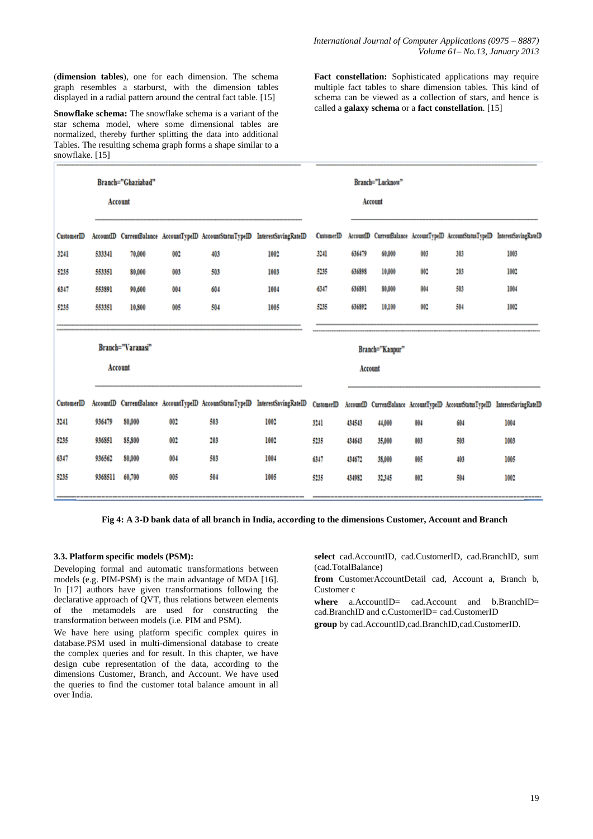(**dimension tables**), one for each dimension. The schema graph resembles a starburst, with the dimension tables displayed in a radial pattern around the central fact table. [15]

**Snowflake schema:** The snowflake schema is a variant of the star schema model, where some dimensional tables are normalized, thereby further splitting the data into additional Tables. The resulting schema graph forms a shape similar to a snowflake. [15]

**Fact constellation:** Sophisticated applications may require multiple fact tables to share dimension tables. This kind of schema can be viewed as a collection of stars, and hence is called a **galaxy schema** or a **fact constellation**. [15]

| $0.110$ with $\sim$ $1.01$ |                   |        |     |     |                                                                                                                                                                            |                   |                 |        |     |     |                                                                                 |  |
|----------------------------|-------------------|--------|-----|-----|----------------------------------------------------------------------------------------------------------------------------------------------------------------------------|-------------------|-----------------|--------|-----|-----|---------------------------------------------------------------------------------|--|
| Branch="Ghaziabad"         |                   |        |     |     |                                                                                                                                                                            | Branch="Lucknow"  |                 |        |     |     |                                                                                 |  |
|                            | Account           |        |     |     |                                                                                                                                                                            | Account           |                 |        |     |     |                                                                                 |  |
| CustomerID                 |                   |        |     |     | AccountID CurrentBalance AccountTypeID AccountStatusTypeID InterestSavingRateID                                                                                            | <b>CustomerID</b> |                 |        |     |     | AccountID CurrentBalance AccountTypeID AccountStatusTypeID InterestSavingRateID |  |
| 3241                       | 533341            | 70,000 | 002 | 403 | 1002                                                                                                                                                                       | 3241              | 636479          | 60,000 | 003 | 303 | 1003                                                                            |  |
| 5235                       | 553351            | 80,000 | 003 | 503 | 1003                                                                                                                                                                       | 5235              | 636898          | 10,000 | 002 | 203 | 1002                                                                            |  |
| 6347                       | 553891            | 90,600 | 004 | 604 | 1004                                                                                                                                                                       | 6347              | 636891          | 80,000 | 004 | 503 | 1004                                                                            |  |
| 5235                       | 553351            | 10,800 | 005 | 504 | 1005                                                                                                                                                                       | 5235              | 636892          | 10,100 | 002 | 504 | 1002                                                                            |  |
|                            |                   |        |     |     |                                                                                                                                                                            |                   |                 |        |     |     |                                                                                 |  |
|                            | Branch="Varanasi" |        |     |     |                                                                                                                                                                            |                   | Branch="Kanpur" |        |     |     |                                                                                 |  |
|                            | Account           |        |     |     |                                                                                                                                                                            | Account           |                 |        |     |     |                                                                                 |  |
|                            |                   |        |     |     |                                                                                                                                                                            |                   |                 |        |     |     |                                                                                 |  |
| <b>CustomerID</b>          |                   |        |     |     | AccountID CurrentBalance AccountTypeID AccountStatusTypeID InterestSavingRateID CustomerID AccountID CurrentBalance AccountTypeID AccountStatusTypeID InterestSavingRateID |                   |                 |        |     |     |                                                                                 |  |
| 3241                       | 936479            | 80,000 | 002 | 503 | 1002                                                                                                                                                                       | 3241              | 434543          | 44,000 | 004 | 604 | 1004                                                                            |  |
| 5235                       | 936851            | 85,800 | 002 | 203 | 1002                                                                                                                                                                       | 5235              | 434643          | 35,000 | 003 | 503 | 1003                                                                            |  |
| 6347                       | 936562            | 80,000 | 004 | 503 | 1004                                                                                                                                                                       | 6347              | 434672          | 38,000 | 005 | 403 | 1005                                                                            |  |
| 5235                       | 9368511           | 60,700 | 005 | 504 | 1005                                                                                                                                                                       | 5235              | 434982          | 32,345 | 002 | 504 | 1002                                                                            |  |
|                            |                   |        |     |     |                                                                                                                                                                            |                   |                 |        |     |     |                                                                                 |  |

**Fig 4: A 3-D bank data of all branch in India, according to the dimensions Customer, Account and Branch**

#### **3.3. Platform specific models (PSM):**

Developing formal and automatic transformations between models (e.g. PIM-PSM) is the main advantage of MDA [16]. In [17] authors have given transformations following the declarative approach of QVT, thus relations between elements of the metamodels are used for constructing the transformation between models (i.e. PIM and PSM).

We have here using platform specific complex quires in database.PSM used in multi-dimensional database to create the complex queries and for result. In this chapter, we have design cube representation of the data, according to the dimensions Customer, Branch, and Account. We have used the queries to find the customer total balance amount in all over India.

**select** cad.AccountID, cad.CustomerID, cad.BranchID, sum (cad.TotalBalance)

**from** CustomerAccountDetail cad, Account a, Branch b, Customer c

where a.AccountID= cad.Account and b.BranchID= cad.BranchID and c.CustomerID= cad.CustomerID

**group** by cad.AccountID,cad.BranchID,cad.CustomerID.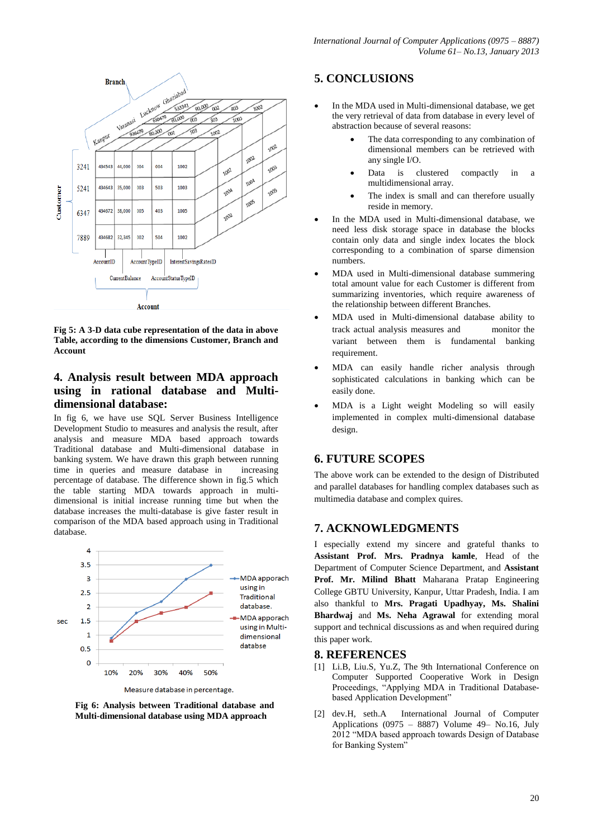

**Fig 5: A 3-D data cube representation of the data in above Table, according to the dimensions Customer, Branch and Account**

## **4. Analysis result between MDA approach using in rational database and Multidimensional database:**

In fig 6, we have use SQL Server Business Intelligence Development Studio to measures and analysis the result, after analysis and measure MDA based approach towards Traditional database and Multi-dimensional database in banking system. We have drawn this graph between running time in queries and measure database in increasing percentage of database. The difference shown in fig.5 which the table starting MDA towards approach in multidimensional is initial increase running time but when the database increases the multi-database is give faster result in comparison of the MDA based approach using in Traditional database.



**Fig 6: Analysis between Traditional database and Multi-dimensional database using MDA approach**

## **5. CONCLUSIONS**

- In the MDA used in Multi-dimensional database, we get the very retrieval of data from database in every level of abstraction because of several reasons:
	- The data corresponding to any combination of dimensional members can be retrieved with any single I/O.
	- Data is clustered compactly in a multidimensional array.
	- The index is small and can therefore usually reside in memory.
- In the MDA used in Multi-dimensional database, we need less disk storage space in database the blocks contain only data and single index locates the block corresponding to a combination of sparse dimension numbers.
- MDA used in Multi-dimensional database summering total amount value for each Customer is different from summarizing inventories, which require awareness of the relationship between different Branches.
- MDA used in Multi-dimensional database ability to track actual analysis measures and monitor the variant between them is fundamental banking requirement.
- MDA can easily handle richer analysis through sophisticated calculations in banking which can be easily done.
- MDA is a Light weight Modeling so will easily implemented in complex multi-dimensional database design.

## **6. FUTURE SCOPES**

The above work can be extended to the design of Distributed and parallel databases for handling complex databases such as multimedia database and complex quires.

## **7. ACKNOWLEDGMENTS**

I especially extend my sincere and grateful thanks to **Assistant Prof. Mrs. Pradnya kamle**, Head of the Department of Computer Science Department, and **Assistant Prof. Mr. Milind Bhatt** Maharana Pratap Engineering College GBTU University, Kanpur, Uttar Pradesh, India. I am also thankful to **Mrs. Pragati Upadhyay, Ms. Shalini Bhardwaj** and **Ms. Neha Agrawal** for extending moral support and technical discussions as and when required during this paper work.

## **8. REFERENCES**

- [1] Li.B, Liu.S, Yu.Z, The 9th International Conference on Computer Supported Cooperative Work in Design Proceedings, "Applying MDA in Traditional Databasebased Application Development"
- [2] dev.H, seth.A International Journal of Computer Applications (0975 – 8887) Volume 49– No.16, July 2012 "MDA based approach towards Design of Database for Banking System"